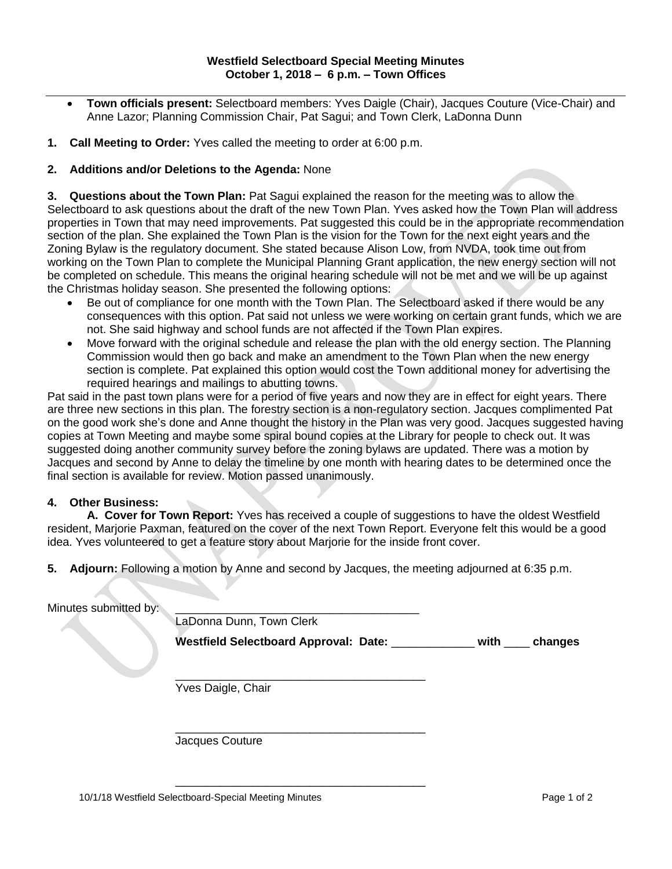- **Town officials present:** Selectboard members: Yves Daigle (Chair), Jacques Couture (Vice-Chair) and Anne Lazor; Planning Commission Chair, Pat Sagui; and Town Clerk, LaDonna Dunn
- **1. Call Meeting to Order:** Yves called the meeting to order at 6:00 p.m.

## **2. Additions and/or Deletions to the Agenda:** None

**3. Questions about the Town Plan:** Pat Sagui explained the reason for the meeting was to allow the Selectboard to ask questions about the draft of the new Town Plan. Yves asked how the Town Plan will address properties in Town that may need improvements. Pat suggested this could be in the appropriate recommendation section of the plan. She explained the Town Plan is the vision for the Town for the next eight years and the Zoning Bylaw is the regulatory document. She stated because Alison Low, from NVDA, took time out from working on the Town Plan to complete the Municipal Planning Grant application, the new energy section will not be completed on schedule. This means the original hearing schedule will not be met and we will be up against the Christmas holiday season. She presented the following options:

- Be out of compliance for one month with the Town Plan. The Selectboard asked if there would be any consequences with this option. Pat said not unless we were working on certain grant funds, which we are not. She said highway and school funds are not affected if the Town Plan expires.
- Move forward with the original schedule and release the plan with the old energy section. The Planning Commission would then go back and make an amendment to the Town Plan when the new energy section is complete. Pat explained this option would cost the Town additional money for advertising the required hearings and mailings to abutting towns.

Pat said in the past town plans were for a period of five years and now they are in effect for eight years. There are three new sections in this plan. The forestry section is a non-regulatory section. Jacques complimented Pat on the good work she's done and Anne thought the history in the Plan was very good. Jacques suggested having copies at Town Meeting and maybe some spiral bound copies at the Library for people to check out. It was suggested doing another community survey before the zoning bylaws are updated. There was a motion by Jacques and second by Anne to delay the timeline by one month with hearing dates to be determined once the final section is available for review. Motion passed unanimously.

## **4. Other Business:**

**A. Cover for Town Report:** Yves has received a couple of suggestions to have the oldest Westfield resident, Marjorie Paxman, featured on the cover of the next Town Report. Everyone felt this would be a good idea. Yves volunteered to get a feature story about Marjorie for the inside front cover.

**5. Adjourn:** Following a motion by Anne and second by Jacques, the meeting adjourned at 6:35 p.m.

| Minutes submitted by: | LaDonna Dunn, Town Clerk                   |                 |
|-----------------------|--------------------------------------------|-----------------|
|                       | Westfield Selectboard Approval: Date: ____ | with<br>changes |
|                       | Yves Daigle, Chair                         |                 |
|                       |                                            |                 |

 $\overline{\phantom{a}}$  , we can also the contribution of the contribution of  $\overline{\phantom{a}}$ 

Jacques Couture